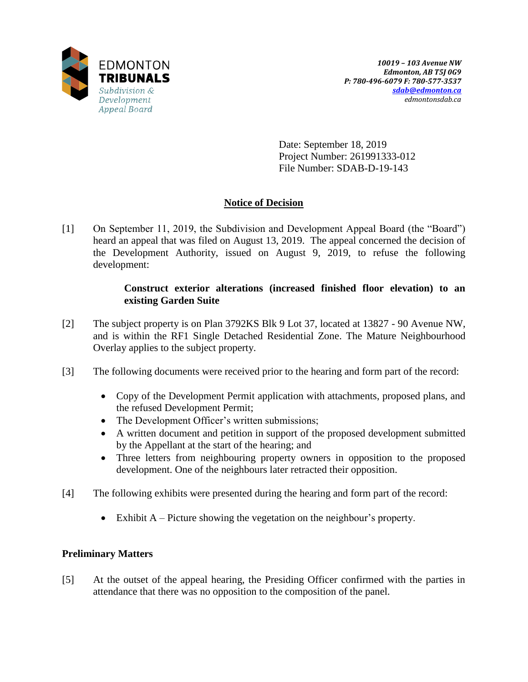

Date: September 18, 2019 Project Number: 261991333-012 File Number: SDAB-D-19-143

# **Notice of Decision**

[1] On September 11, 2019, the Subdivision and Development Appeal Board (the "Board") heard an appeal that was filed on August 13, 2019. The appeal concerned the decision of the Development Authority, issued on August 9, 2019, to refuse the following development:

# **Construct exterior alterations (increased finished floor elevation) to an existing Garden Suite**

- [2] The subject property is on Plan 3792KS Blk 9 Lot 37, located at 13827 90 Avenue NW, and is within the RF1 Single Detached Residential Zone. The Mature Neighbourhood Overlay applies to the subject property.
- [3] The following documents were received prior to the hearing and form part of the record:
	- Copy of the Development Permit application with attachments, proposed plans, and the refused Development Permit;
	- The Development Officer's written submissions;
	- A written document and petition in support of the proposed development submitted by the Appellant at the start of the hearing; and
	- Three letters from neighbouring property owners in opposition to the proposed development. One of the neighbours later retracted their opposition.
- [4] The following exhibits were presented during the hearing and form part of the record:
	- Exhibit A Picture showing the vegetation on the neighbour's property.

# **Preliminary Matters**

[5] At the outset of the appeal hearing, the Presiding Officer confirmed with the parties in attendance that there was no opposition to the composition of the panel.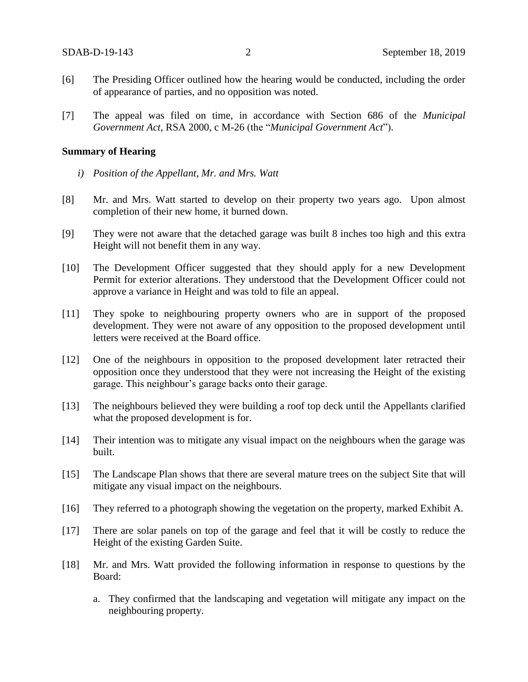- [6] The Presiding Officer outlined how the hearing would be conducted, including the order of appearance of parties, and no opposition was noted.
- [7] The appeal was filed on time, in accordance with Section 686 of the *Municipal Government Act*, RSA 2000, c M-26 (the "*Municipal Government Act*").

### **Summary of Hearing**

- *i) Position of the Appellant, Mr. and Mrs. Watt*
- [8] Mr. and Mrs. Watt started to develop on their property two years ago. Upon almost completion of their new home, it burned down.
- [9] They were not aware that the detached garage was built 8 inches too high and this extra Height will not benefit them in any way.
- [10] The Development Officer suggested that they should apply for a new Development Permit for exterior alterations. They understood that the Development Officer could not approve a variance in Height and was told to file an appeal.
- [11] They spoke to neighbouring property owners who are in support of the proposed development. They were not aware of any opposition to the proposed development until letters were received at the Board office.
- [12] One of the neighbours in opposition to the proposed development later retracted their opposition once they understood that they were not increasing the Height of the existing garage. This neighbour's garage backs onto their garage.
- [13] The neighbours believed they were building a roof top deck until the Appellants clarified what the proposed development is for.
- [14] Their intention was to mitigate any visual impact on the neighbours when the garage was built.
- [15] The Landscape Plan shows that there are several mature trees on the subject Site that will mitigate any visual impact on the neighbours.
- [16] They referred to a photograph showing the vegetation on the property, marked Exhibit A.
- [17] There are solar panels on top of the garage and feel that it will be costly to reduce the Height of the existing Garden Suite.
- [18] Mr. and Mrs. Watt provided the following information in response to questions by the Board:
	- a. They confirmed that the landscaping and vegetation will mitigate any impact on the neighbouring property.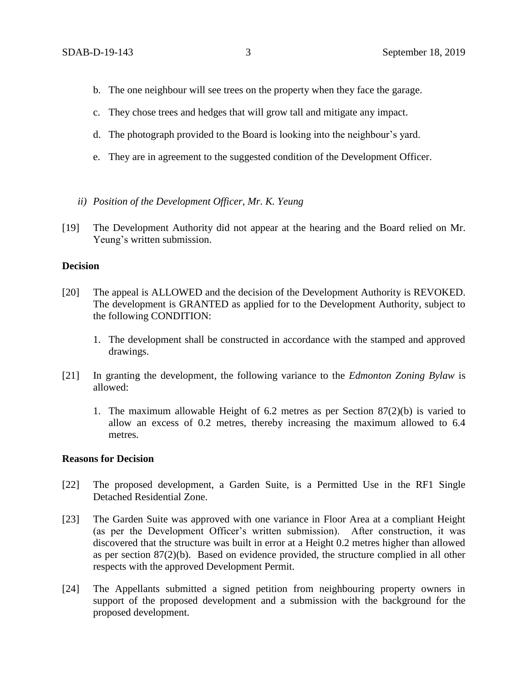- b. The one neighbour will see trees on the property when they face the garage.
- c. They chose trees and hedges that will grow tall and mitigate any impact.
- d. The photograph provided to the Board is looking into the neighbour's yard.
- e. They are in agreement to the suggested condition of the Development Officer.
- *ii) Position of the Development Officer, Mr. K. Yeung*
- [19] The Development Authority did not appear at the hearing and the Board relied on Mr. Yeung's written submission.

### **Decision**

- [20] The appeal is ALLOWED and the decision of the Development Authority is REVOKED. The development is GRANTED as applied for to the Development Authority, subject to the following CONDITION:
	- 1. The development shall be constructed in accordance with the stamped and approved drawings.
- [21] In granting the development, the following variance to the *Edmonton Zoning Bylaw* is allowed:
	- 1. The maximum allowable Height of 6.2 metres as per Section 87(2)(b) is varied to allow an excess of 0.2 metres, thereby increasing the maximum allowed to 6.4 metres.

### **Reasons for Decision**

- [22] The proposed development, a Garden Suite, is a Permitted Use in the RF1 Single Detached Residential Zone.
- [23] The Garden Suite was approved with one variance in Floor Area at a compliant Height (as per the Development Officer's written submission). After construction, it was discovered that the structure was built in error at a Height 0.2 metres higher than allowed as per section 87(2)(b). Based on evidence provided, the structure complied in all other respects with the approved Development Permit.
- [24] The Appellants submitted a signed petition from neighbouring property owners in support of the proposed development and a submission with the background for the proposed development.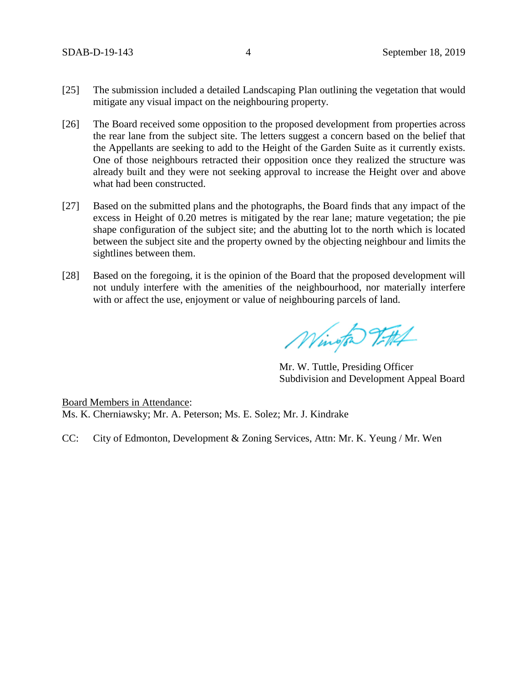- [25] The submission included a detailed Landscaping Plan outlining the vegetation that would mitigate any visual impact on the neighbouring property.
- [26] The Board received some opposition to the proposed development from properties across the rear lane from the subject site. The letters suggest a concern based on the belief that the Appellants are seeking to add to the Height of the Garden Suite as it currently exists. One of those neighbours retracted their opposition once they realized the structure was already built and they were not seeking approval to increase the Height over and above what had been constructed.
- [27] Based on the submitted plans and the photographs, the Board finds that any impact of the excess in Height of 0.20 metres is mitigated by the rear lane; mature vegetation; the pie shape configuration of the subject site; and the abutting lot to the north which is located between the subject site and the property owned by the objecting neighbour and limits the sightlines between them.
- [28] Based on the foregoing, it is the opinion of the Board that the proposed development will not unduly interfere with the amenities of the neighbourhood, nor materially interfere with or affect the use, enjoyment or value of neighbouring parcels of land.

Wington 2FH

Mr. W. Tuttle, Presiding Officer Subdivision and Development Appeal Board

Board Members in Attendance: Ms. K. Cherniawsky; Mr. A. Peterson; Ms. E. Solez; Mr. J. Kindrake

CC: City of Edmonton, Development & Zoning Services, Attn: Mr. K. Yeung / Mr. Wen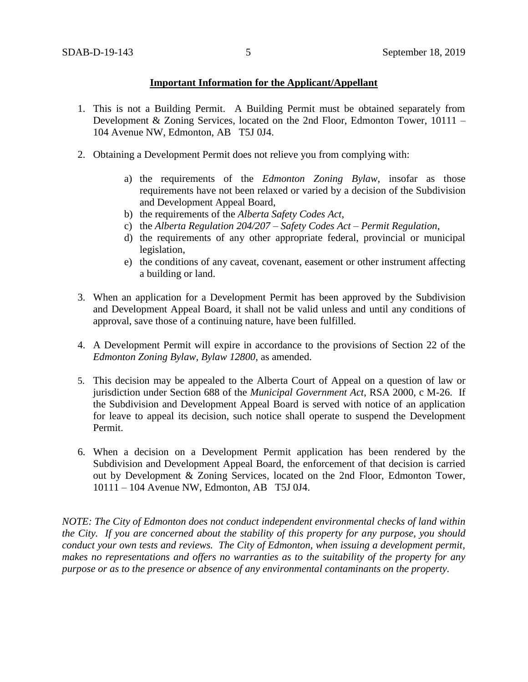## **Important Information for the Applicant/Appellant**

- 1. This is not a Building Permit. A Building Permit must be obtained separately from Development & Zoning Services, located on the 2nd Floor, Edmonton Tower, 10111 – 104 Avenue NW, Edmonton, AB T5J 0J4.
- 2. Obtaining a Development Permit does not relieve you from complying with:
	- a) the requirements of the *Edmonton Zoning Bylaw*, insofar as those requirements have not been relaxed or varied by a decision of the Subdivision and Development Appeal Board,
	- b) the requirements of the *Alberta Safety Codes Act*,
	- c) the *Alberta Regulation 204/207 – Safety Codes Act – Permit Regulation*,
	- d) the requirements of any other appropriate federal, provincial or municipal legislation,
	- e) the conditions of any caveat, covenant, easement or other instrument affecting a building or land.
- 3. When an application for a Development Permit has been approved by the Subdivision and Development Appeal Board, it shall not be valid unless and until any conditions of approval, save those of a continuing nature, have been fulfilled.
- 4. A Development Permit will expire in accordance to the provisions of Section 22 of the *Edmonton Zoning Bylaw, Bylaw 12800*, as amended.
- 5. This decision may be appealed to the Alberta Court of Appeal on a question of law or jurisdiction under Section 688 of the *Municipal Government Act*, RSA 2000, c M-26. If the Subdivision and Development Appeal Board is served with notice of an application for leave to appeal its decision, such notice shall operate to suspend the Development Permit.
- 6. When a decision on a Development Permit application has been rendered by the Subdivision and Development Appeal Board, the enforcement of that decision is carried out by Development & Zoning Services, located on the 2nd Floor, Edmonton Tower, 10111 – 104 Avenue NW, Edmonton, AB T5J 0J4.

*NOTE: The City of Edmonton does not conduct independent environmental checks of land within the City. If you are concerned about the stability of this property for any purpose, you should conduct your own tests and reviews. The City of Edmonton, when issuing a development permit, makes no representations and offers no warranties as to the suitability of the property for any purpose or as to the presence or absence of any environmental contaminants on the property.*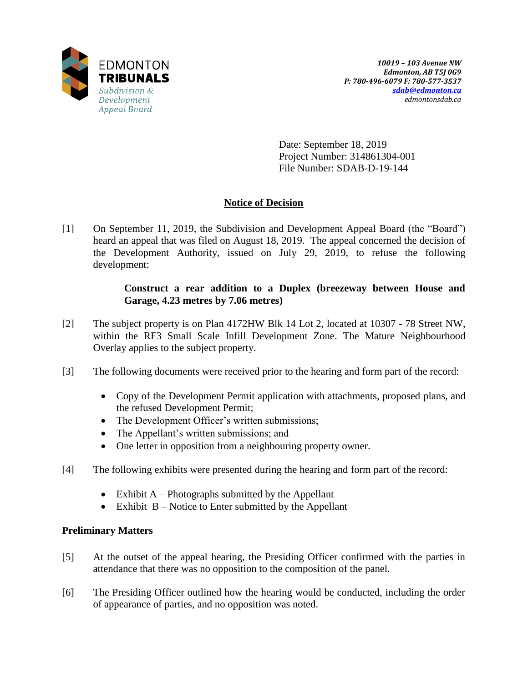

Date: September 18, 2019 Project Number: 314861304-001 File Number: SDAB-D-19-144

# **Notice of Decision**

[1] On September 11, 2019, the Subdivision and Development Appeal Board (the "Board") heard an appeal that was filed on August 18, 2019. The appeal concerned the decision of the Development Authority, issued on July 29, 2019, to refuse the following development:

## **Construct a rear addition to a Duplex (breezeway between House and Garage, 4.23 metres by 7.06 metres)**

- [2] The subject property is on Plan 4172HW Blk 14 Lot 2, located at 10307 78 Street NW, within the RF3 Small Scale Infill Development Zone. The Mature Neighbourhood Overlay applies to the subject property.
- [3] The following documents were received prior to the hearing and form part of the record:
	- Copy of the Development Permit application with attachments, proposed plans, and the refused Development Permit;
	- The Development Officer's written submissions;
	- The Appellant's written submissions; and
	- One letter in opposition from a neighbouring property owner.
- [4] The following exhibits were presented during the hearing and form part of the record:
	- Exhibit  $A$  Photographs submitted by the Appellant
	- $\bullet$  Exhibit B Notice to Enter submitted by the Appellant

## **Preliminary Matters**

- [5] At the outset of the appeal hearing, the Presiding Officer confirmed with the parties in attendance that there was no opposition to the composition of the panel.
- [6] The Presiding Officer outlined how the hearing would be conducted, including the order of appearance of parties, and no opposition was noted.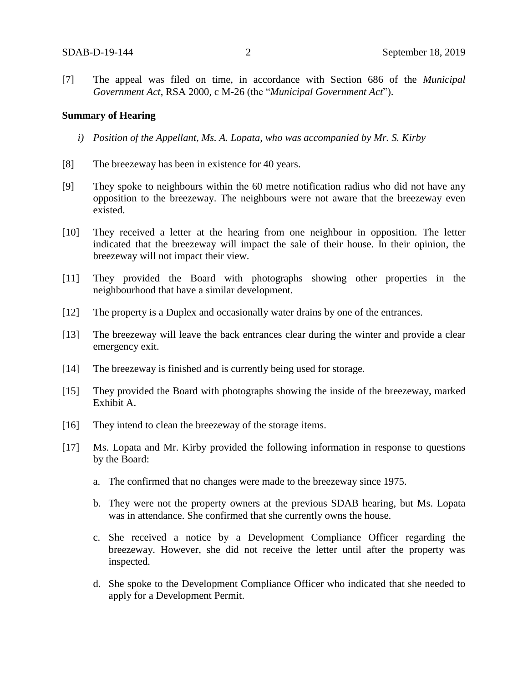[7] The appeal was filed on time, in accordance with Section 686 of the *Municipal Government Act*, RSA 2000, c M-26 (the "*Municipal Government Act*").

### **Summary of Hearing**

- *i) Position of the Appellant, Ms. A. Lopata, who was accompanied by Mr. S. Kirby*
- [8] The breezeway has been in existence for 40 years.
- [9] They spoke to neighbours within the 60 metre notification radius who did not have any opposition to the breezeway. The neighbours were not aware that the breezeway even existed.
- [10] They received a letter at the hearing from one neighbour in opposition. The letter indicated that the breezeway will impact the sale of their house. In their opinion, the breezeway will not impact their view.
- [11] They provided the Board with photographs showing other properties in the neighbourhood that have a similar development.
- [12] The property is a Duplex and occasionally water drains by one of the entrances.
- [13] The breezeway will leave the back entrances clear during the winter and provide a clear emergency exit.
- [14] The breezeway is finished and is currently being used for storage.
- [15] They provided the Board with photographs showing the inside of the breezeway, marked Exhibit A.
- [16] They intend to clean the breezeway of the storage items.
- [17] Ms. Lopata and Mr. Kirby provided the following information in response to questions by the Board:
	- a. The confirmed that no changes were made to the breezeway since 1975.
	- b. They were not the property owners at the previous SDAB hearing, but Ms. Lopata was in attendance. She confirmed that she currently owns the house.
	- c. She received a notice by a Development Compliance Officer regarding the breezeway. However, she did not receive the letter until after the property was inspected.
	- d. She spoke to the Development Compliance Officer who indicated that she needed to apply for a Development Permit.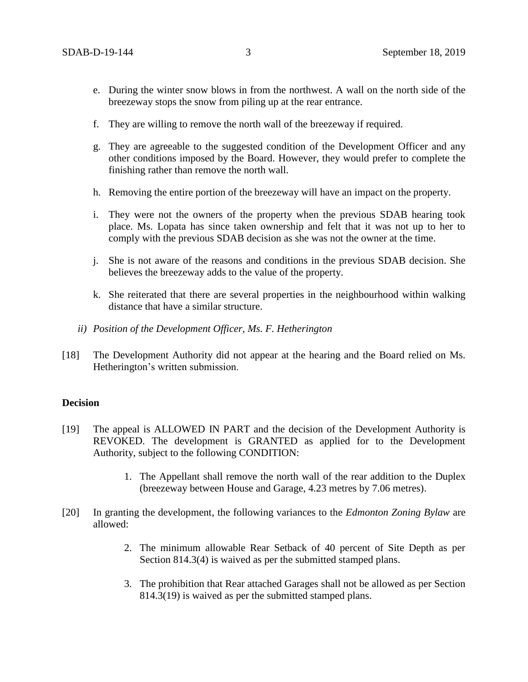- e. During the winter snow blows in from the northwest. A wall on the north side of the breezeway stops the snow from piling up at the rear entrance.
- f. They are willing to remove the north wall of the breezeway if required.
- g. They are agreeable to the suggested condition of the Development Officer and any other conditions imposed by the Board. However, they would prefer to complete the finishing rather than remove the north wall.
- h. Removing the entire portion of the breezeway will have an impact on the property.
- i. They were not the owners of the property when the previous SDAB hearing took place. Ms. Lopata has since taken ownership and felt that it was not up to her to comply with the previous SDAB decision as she was not the owner at the time.
- j. She is not aware of the reasons and conditions in the previous SDAB decision. She believes the breezeway adds to the value of the property.
- k. She reiterated that there are several properties in the neighbourhood within walking distance that have a similar structure.
- *ii) Position of the Development Officer, Ms. F. Hetherington*
- [18] The Development Authority did not appear at the hearing and the Board relied on Ms. Hetherington's written submission.

### **Decision**

- [19] The appeal is ALLOWED IN PART and the decision of the Development Authority is REVOKED. The development is GRANTED as applied for to the Development Authority, subject to the following CONDITION:
	- 1. The Appellant shall remove the north wall of the rear addition to the Duplex (breezeway between House and Garage, 4.23 metres by 7.06 metres).
- [20] In granting the development, the following variances to the *Edmonton Zoning Bylaw* are allowed:
	- 2. The minimum allowable Rear Setback of 40 percent of Site Depth as per Section 814.3(4) is waived as per the submitted stamped plans.
	- 3. The prohibition that Rear attached Garages shall not be allowed as per Section 814.3(19) is waived as per the submitted stamped plans.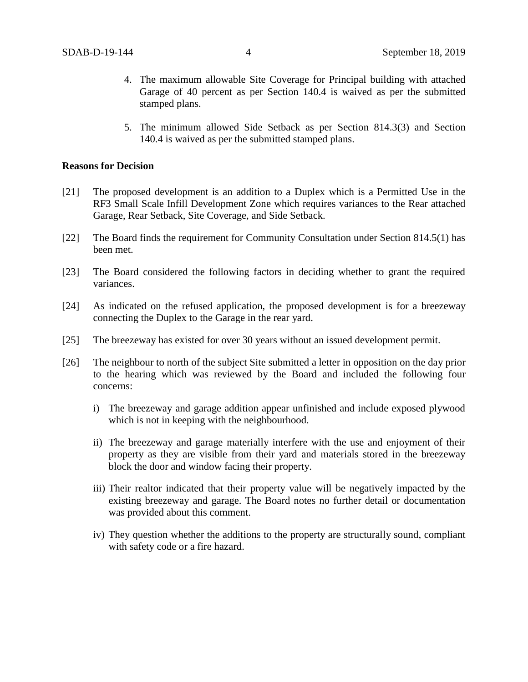- 4. The maximum allowable Site Coverage for Principal building with attached Garage of 40 percent as per Section 140.4 is waived as per the submitted stamped plans.
- 5. The minimum allowed Side Setback as per Section 814.3(3) and Section 140.4 is waived as per the submitted stamped plans.

### **Reasons for Decision**

- [21] The proposed development is an addition to a Duplex which is a Permitted Use in the RF3 Small Scale Infill Development Zone which requires variances to the Rear attached Garage, Rear Setback, Site Coverage, and Side Setback.
- [22] The Board finds the requirement for Community Consultation under Section 814.5(1) has been met.
- [23] The Board considered the following factors in deciding whether to grant the required variances.
- [24] As indicated on the refused application, the proposed development is for a breezeway connecting the Duplex to the Garage in the rear yard.
- [25] The breezeway has existed for over 30 years without an issued development permit.
- [26] The neighbour to north of the subject Site submitted a letter in opposition on the day prior to the hearing which was reviewed by the Board and included the following four concerns:
	- i) The breezeway and garage addition appear unfinished and include exposed plywood which is not in keeping with the neighbourhood.
	- ii) The breezeway and garage materially interfere with the use and enjoyment of their property as they are visible from their yard and materials stored in the breezeway block the door and window facing their property.
	- iii) Their realtor indicated that their property value will be negatively impacted by the existing breezeway and garage. The Board notes no further detail or documentation was provided about this comment.
	- iv) They question whether the additions to the property are structurally sound, compliant with safety code or a fire hazard.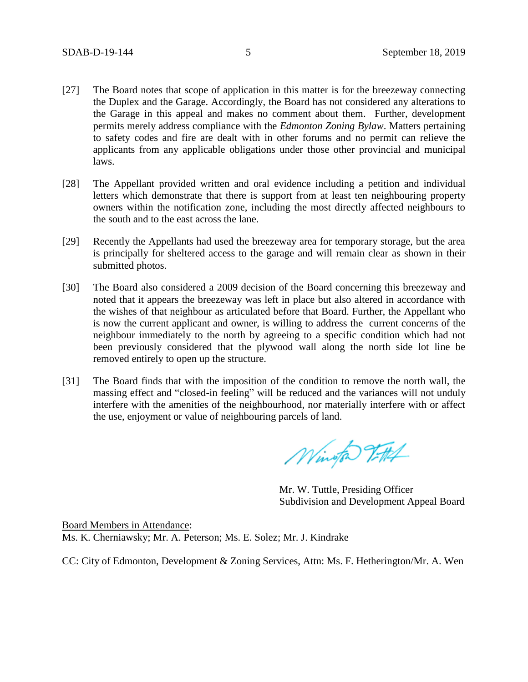- [27] The Board notes that scope of application in this matter is for the breezeway connecting the Duplex and the Garage. Accordingly, the Board has not considered any alterations to the Garage in this appeal and makes no comment about them. Further, development permits merely address compliance with the *Edmonton Zoning Bylaw*. Matters pertaining to safety codes and fire are dealt with in other forums and no permit can relieve the applicants from any applicable obligations under those other provincial and municipal laws.
- [28] The Appellant provided written and oral evidence including a petition and individual letters which demonstrate that there is support from at least ten neighbouring property owners within the notification zone, including the most directly affected neighbours to the south and to the east across the lane.
- [29] Recently the Appellants had used the breezeway area for temporary storage, but the area is principally for sheltered access to the garage and will remain clear as shown in their submitted photos.
- [30] The Board also considered a 2009 decision of the Board concerning this breezeway and noted that it appears the breezeway was left in place but also altered in accordance with the wishes of that neighbour as articulated before that Board. Further, the Appellant who is now the current applicant and owner, is willing to address the current concerns of the neighbour immediately to the north by agreeing to a specific condition which had not been previously considered that the plywood wall along the north side lot line be removed entirely to open up the structure.
- [31] The Board finds that with the imposition of the condition to remove the north wall, the massing effect and "closed-in feeling" will be reduced and the variances will not unduly interfere with the amenities of the neighbourhood, nor materially interfere with or affect the use, enjoyment or value of neighbouring parcels of land.

Wington Vittel

Mr. W. Tuttle, Presiding Officer Subdivision and Development Appeal Board

Board Members in Attendance: Ms. K. Cherniawsky; Mr. A. Peterson; Ms. E. Solez; Mr. J. Kindrake

CC: City of Edmonton, Development & Zoning Services, Attn: Ms. F. Hetherington/Mr. A. Wen